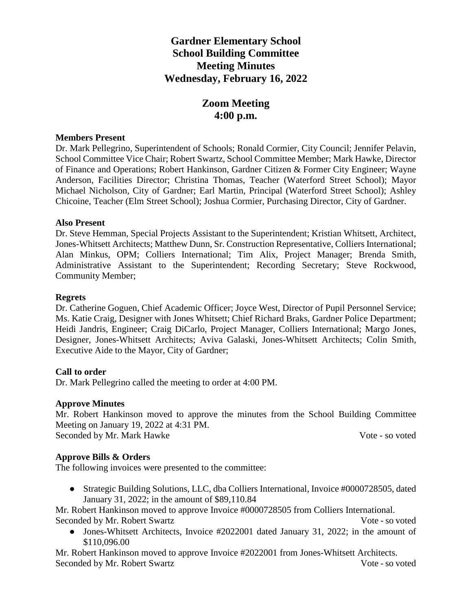# **Gardner Elementary School School Building Committee Meeting Minutes Wednesday, February 16, 2022**

# **Zoom Meeting 4:00 p.m.**

#### **Members Present**

Dr. Mark Pellegrino, Superintendent of Schools; Ronald Cormier, City Council; Jennifer Pelavin, School Committee Vice Chair; Robert Swartz, School Committee Member; Mark Hawke, Director of Finance and Operations; Robert Hankinson, Gardner Citizen & Former City Engineer; Wayne Anderson, Facilities Director; Christina Thomas, Teacher (Waterford Street School); Mayor Michael Nicholson, City of Gardner; Earl Martin, Principal (Waterford Street School); Ashley Chicoine, Teacher (Elm Street School); Joshua Cormier, Purchasing Director, City of Gardner.

## **Also Present**

Dr. Steve Hemman, Special Projects Assistant to the Superintendent; Kristian Whitsett, Architect, Jones-Whitsett Architects; Matthew Dunn, Sr. Construction Representative, Colliers International; Alan Minkus, OPM; Colliers International; Tim Alix, Project Manager; Brenda Smith, Administrative Assistant to the Superintendent; Recording Secretary; Steve Rockwood, Community Member;

#### **Regrets**

Dr. Catherine Goguen, Chief Academic Officer; Joyce West, Director of Pupil Personnel Service; Ms. Katie Craig, Designer with Jones Whitsett; Chief Richard Braks, Gardner Police Department; Heidi Jandris, Engineer; Craig DiCarlo, Project Manager, Colliers International; Margo Jones, Designer, Jones-Whitsett Architects; Aviva Galaski, Jones-Whitsett Architects; Colin Smith, Executive Aide to the Mayor, City of Gardner;

## **Call to order**

Dr. Mark Pellegrino called the meeting to order at 4:00 PM.

## **Approve Minutes**

Mr. Robert Hankinson moved to approve the minutes from the School Building Committee Meeting on January 19, 2022 at 4:31 PM. Seconded by Mr. Mark Hawke Vote - so voted

## **Approve Bills & Orders**

The following invoices were presented to the committee:

● Strategic Building Solutions, LLC, dba Colliers International, Invoice #0000728505, dated January 31, 2022; in the amount of \$89,110.84

Mr. Robert Hankinson moved to approve Invoice #0000728505 from Colliers International. Seconded by Mr. Robert Swartz Vote - so voted

• Jones-Whitsett Architects, Invoice #2022001 dated January 31, 2022; in the amount of \$110,096.00

Mr. Robert Hankinson moved to approve Invoice #2022001 from Jones-Whitsett Architects. Seconded by Mr. Robert Swartz Vote - so voted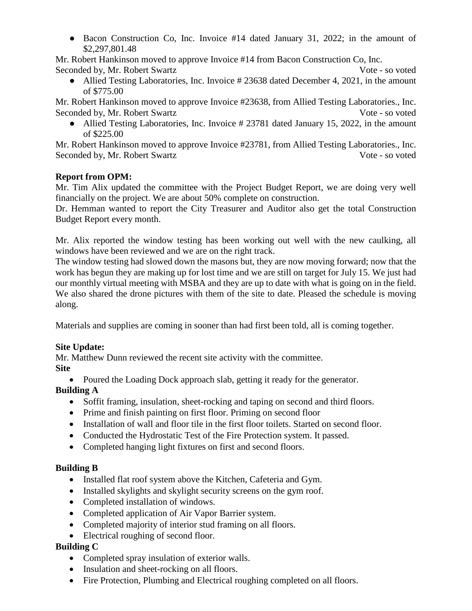● Bacon Construction Co, Inc. Invoice #14 dated January 31, 2022; in the amount of \$2,297,801.48

Mr. Robert Hankinson moved to approve Invoice #14 from Bacon Construction Co, Inc. Seconded by, Mr. Robert Swartz Vote - so voted

• Allied Testing Laboratories, Inc. Invoice # 23638 dated December 4, 2021, in the amount of \$775.00

Mr. Robert Hankinson moved to approve Invoice #23638, from Allied Testing Laboratories., Inc. Seconded by, Mr. Robert Swartz Vote - so voted

• Allied Testing Laboratories, Inc. Invoice # 23781 dated January 15, 2022, in the amount of \$225.00

Mr. Robert Hankinson moved to approve Invoice #23781, from Allied Testing Laboratories., Inc. Seconded by, Mr. Robert Swartz Vote - so voted

## **Report from OPM:**

Mr. Tim Alix updated the committee with the Project Budget Report, we are doing very well financially on the project. We are about 50% complete on construction.

Dr. Hemman wanted to report the City Treasurer and Auditor also get the total Construction Budget Report every month.

Mr. Alix reported the window testing has been working out well with the new caulking, all windows have been reviewed and we are on the right track.

The window testing had slowed down the masons but, they are now moving forward; now that the work has begun they are making up for lost time and we are still on target for July 15. We just had our monthly virtual meeting with MSBA and they are up to date with what is going on in the field. We also shared the drone pictures with them of the site to date. Pleased the schedule is moving along.

Materials and supplies are coming in sooner than had first been told, all is coming together.

## **Site Update:**

Mr. Matthew Dunn reviewed the recent site activity with the committee.

## **Site**

• Poured the Loading Dock approach slab, getting it ready for the generator.

# **Building A**

- Soffit framing, insulation, sheet-rocking and taping on second and third floors.
- Prime and finish painting on first floor. Priming on second floor
- Installation of wall and floor tile in the first floor toilets. Started on second floor.
- Conducted the Hydrostatic Test of the Fire Protection system. It passed.
- Completed hanging light fixtures on first and second floors.

## **Building B**

- Installed flat roof system above the Kitchen, Cafeteria and Gym.
- Installed skylights and skylight security screens on the gym roof.
- Completed installation of windows.
- Completed application of Air Vapor Barrier system.
- Completed majority of interior stud framing on all floors.
- Electrical roughing of second floor.

## **Building C**

- Completed spray insulation of exterior walls.
- Insulation and sheet-rocking on all floors.
- Fire Protection, Plumbing and Electrical roughing completed on all floors.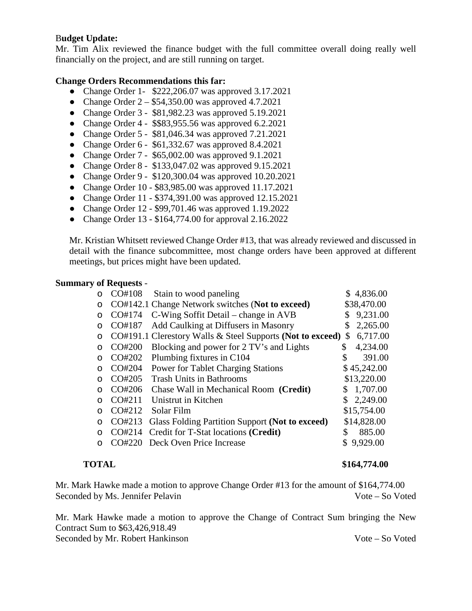## B**udget Update:**

Mr. Tim Alix reviewed the finance budget with the full committee overall doing really well financially on the project, and are still running on target.

## **Change Orders Recommendations this far:**

- Change Order 1- \$222,206.07 was approved 3.17.2021
- Change Order  $2 $54,350.00$  was approved 4.7.2021
- Change Order 3 \$81,982.23 was approved 5.19.2021
- Change Order 4 \$\$83,955.56 was approved 6.2.2021
- Change Order 5 \$81,046.34 was approved 7.21.2021
- Change Order  $6 $61,332.67$  was approved  $8.4.2021$
- Change Order 7 \$65,002.00 was approved 9.1.2021
- Change Order 8 \$133,047.02 was approved 9.15.2021
- Change Order 9 \$120,300.04 was approved 10.20.2021
- Change Order 10 \$83,985.00 was approved 11.17.2021
- Change Order 11 \$374,391.00 was approved 12.15.2021
- Change Order 12 \$99,701.46 was approved 1.19.2022
- Change Order 13 \$164,774.00 for approval 2.16.2022

Mr. Kristian Whitsett reviewed Change Order #13, that was already reviewed and discussed in detail with the finance subcommittee, most change orders have been approved at different meetings, but prices might have been updated.

## **Summary of Requests** -

|         | CO#108 | Stain to wood paneling                                     |    | \$4,836.00  |
|---------|--------|------------------------------------------------------------|----|-------------|
| $\circ$ |        | CO#142.1 Change Network switches (Not to exceed)           |    | \$38,470.00 |
| O       | CO#174 | C-Wing Soffit Detail – change in AVB                       |    | 9,231.00    |
| $\circ$ | CO#187 | Add Caulking at Diffusers in Masonry                       | S  | 2,265.00    |
| O       |        | CO#191.1 Clerestory Walls & Steel Supports (Not to exceed) | S  | 6,717.00    |
| ∩       | CO#200 | Blocking and power for 2 TV's and Lights                   | \$ | 4,234.00    |
| ∩       | CO#202 | Plumbing fixtures in C104                                  |    | 391.00      |
|         | CO#204 | <b>Power for Tablet Charging Stations</b>                  |    | \$45,242.00 |
| ∩       | CO#205 | <b>Trash Units in Bathrooms</b>                            |    | \$13,220.00 |
|         | CO#206 | Chase Wall in Mechanical Room (Credit)                     | S  | 1,707.00    |
|         | CO#211 | Unistrut in Kitchen                                        |    | 2,249.00    |
| ∩       | CO#212 | Solar Film                                                 |    | \$15,754.00 |
| ∩       | CO#213 | Glass Folding Partition Support (Not to exceed)            |    | \$14,828.00 |
| ∩       | CO#214 | Credit for T-Stat locations (Credit)                       | \$ | 885.00      |
|         | CO#220 | Deck Oven Price Increase                                   |    | 9,929.00    |
|         |        |                                                            |    |             |

#### **TOTAL** \$164,774.00

Mr. Mark Hawke made a motion to approve Change Order #13 for the amount of \$164,774.00 Seconded by Ms. Jennifer Pelavin Vote – So Voted

Mr. Mark Hawke made a motion to approve the Change of Contract Sum bringing the New Contract Sum to \$63,426,918.49

Seconded by Mr. Robert Hankinson Vote – So Voted